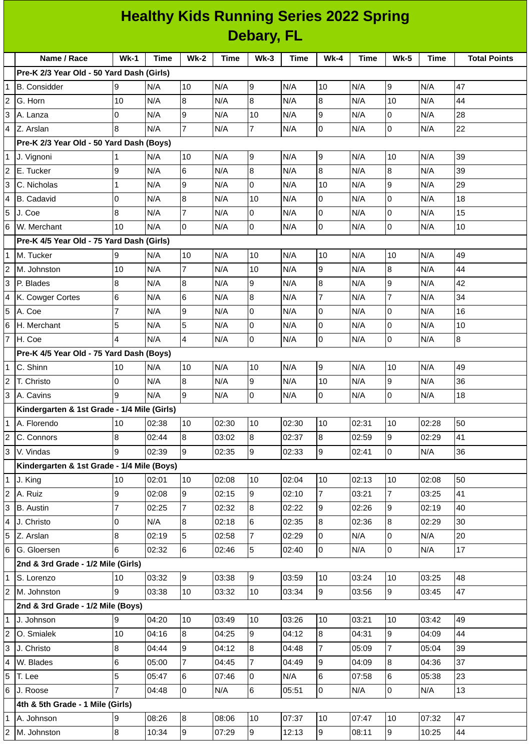| <b>Healthy Kids Running Series 2022 Spring</b> |  |
|------------------------------------------------|--|
| Debary, FL                                     |  |

|                | Name / Race                                 | $Wk-1$         | <b>Time</b> | <b>Wk-2</b>     | <b>Time</b> | $Wk-3$          | <b>Time</b> | $Wk-4$         | Time  | <b>Wk-5</b>    | <b>Time</b> | <b>Total Points</b> |
|----------------|---------------------------------------------|----------------|-------------|-----------------|-------------|-----------------|-------------|----------------|-------|----------------|-------------|---------------------|
|                | Pre-K 2/3 Year Old - 50 Yard Dash (Girls)   |                |             |                 |             |                 |             |                |       |                |             |                     |
| $\mathbf{1}$   | B. Considder                                | 9              | N/A         | 10              | N/A         | 9               | N/A         | 10             | N/A   | 9              | N/A         | 47                  |
| $\overline{c}$ | G. Horn                                     | 10             | N/A         | 8               | N/A         | 8               | N/A         | 8              | N/A   | 10             | N/A         | 44                  |
| 3              | A. Lanza                                    | 0              | N/A         | 9               | N/A         | 10              | N/A         | $\mathsf g$    | N/A   | 0              | N/A         | 28                  |
| $\overline{4}$ | Z. Arslan                                   | 8              | N/A         | $\overline{7}$  | N/A         | $\overline{7}$  | N/A         | $\overline{0}$ | N/A   | $\mathbf 0$    | N/A         | 22                  |
|                | Pre-K 2/3 Year Old - 50 Yard Dash (Boys)    |                |             |                 |             |                 |             |                |       |                |             |                     |
|                | 1 J. Vignoni                                | 1              | N/A         | 10              | N/A         | 9               | N/A         | 9              | N/A   | 10             | N/A         | 39                  |
| $\overline{c}$ | E. Tucker                                   | 9              | N/A         | $6\phantom{a}$  | N/A         | $\overline{8}$  | N/A         | 8              | N/A   | 8              | N/A         | 39                  |
| 3              | C. Nicholas                                 | $\mathbf{1}$   | N/A         | 9               | N/A         | 0               | N/A         | 10             | N/A   | 9              | N/A         | 29                  |
| 4              | B. Cadavid                                  | $\mathsf 0$    | N/A         | $\bf{8}$        | N/A         | 10              | N/A         | $\mathsf{O}$   | N/A   | 0              | N/A         | 18                  |
| 5              | J. Coe                                      | 8              | N/A         | $\overline{7}$  | N/A         | $\mathbf 0$     | N/A         | 0              | N/A   | 0              | N/A         | 15                  |
| 6              | W. Merchant                                 | 10             | N/A         | l0              | N/A         | $\overline{0}$  | N/A         | $\overline{0}$ | N/A   | 0              | N/A         | 10                  |
|                | Pre-K 4/5 Year Old - 75 Yard Dash (Girls)   |                |             |                 |             |                 |             |                |       |                |             |                     |
| $\mathbf{1}$   | M. Tucker                                   | 9              | N/A         | 10              | N/A         | 10              | N/A         | 10             | N/A   | 10             | N/A         | 49                  |
| 2              | M. Johnston                                 | 10             | N/A         | $\overline{7}$  | N/A         | 10              | N/A         | $\mathsf g$    | N/A   | 8              | N/A         | 44                  |
| 3              | P. Blades                                   | 8              | N/A         | $\bf{8}$        | N/A         | 9               | N/A         | 8              | N/A   | 9              | N/A         | 42                  |
| 4              | K. Cowger Cortes                            | $\,6$          | N/A         | 6               | N/A         | $\bf{8}$        | N/A         | $\overline{7}$ | N/A   | $\overline{7}$ | N/A         | 34                  |
| 5              | A. Coe                                      | $\overline{7}$ | N/A         | $\overline{9}$  | N/A         | 0               | N/A         | $\mathsf{O}$   | N/A   | 0              | N/A         | 16                  |
|                | 6 H. Merchant                               | 5              | N/A         | 5               | N/A         | $\overline{0}$  | N/A         | $\overline{0}$ | N/A   | 0              | N/A         | 10                  |
|                | 7 H. Coe                                    | 4              | N/A         | $\overline{4}$  | N/A         | $\overline{0}$  | N/A         | l0             | N/A   | $\overline{0}$ | N/A         | 8                   |
|                | Pre-K 4/5 Year Old - 75 Yard Dash (Boys)    |                |             |                 |             |                 |             |                |       |                |             |                     |
|                | $1$ C. Shinn                                | 10             | N/A         | 10              | N/A         | 10              | N/A         | 9              | N/A   | 10             | N/A         | 49                  |
| 2              | T. Christo                                  | 0              | N/A         | 8               | N/A         | 9               | N/A         | 10             | N/A   | 9              | N/A         | 36                  |
| 3              | A. Cavins                                   | 9              | N/A         | l9              | N/A         | $\overline{0}$  | N/A         | $\overline{0}$ | N/A   | 0              | N/A         | 18                  |
|                | Kindergarten & 1st Grade - 1/4 Mile (Girls) |                |             |                 |             |                 |             |                |       |                |             |                     |
| $\mathbf{1}$   | A. Florendo                                 | 10             | 02:38       | 10              | 02:30       | 10              | 02:30       | 10             | 02:31 | 10             | 02:28       | 50                  |
| $\overline{c}$ | C. Connors                                  | 8              | 02:44       | 8               | 03:02       | $\bf{8}$        | 02:37       | 8              | 02:59 | 9              | 02:29       | 41                  |
|                | 3 V. Vindas                                 | 9              | 02:39       | $\vert 9 \vert$ | 02:35       | $\vert 9 \vert$ | 02:33       | 9              | 02:41 | 0              | N/A         | 36                  |
|                | Kindergarten & 1st Grade - 1/4 Mile (Boys)  |                |             |                 |             |                 |             |                |       |                |             |                     |
|                | $1$ J. King                                 | 10             | 02:01       | 10              | 02:08       | $10\,$          | 02:04       | 10             | 02:13 | 10             | 02:08       | 50                  |
|                | 2 A. Ruiz                                   | 9              | 02:08       | 9               | 02:15       | 9               | 02:10       | $\overline{7}$ | 03:21 | $\overline{7}$ | 03:25       | 41                  |
|                | 3 B. Austin                                 | $\overline{7}$ | 02:25       | $\overline{7}$  | 02:32       | $\bf{8}$        | 02:22       | 9              | 02:26 | 9              | 02:19       | 40                  |
| 4              | J. Christo                                  | 0              | N/A         | 8               | 02:18       | 6               | 02:35       | 8              | 02:36 | 8              | 02:29       | 30                  |
|                | 5 Z. Arslan                                 | 8              | 02:19       | 5               | 02:58       | 7               | 02:29       | O              | N/A   | 0              | N/A         | 20                  |
|                | 6 G. Gloersen                               | 6              | 02:32       | 6               | 02:46       | 5               | 02:40       | $\overline{0}$ | N/A   | 0              | N/A         | 17                  |
|                | 2nd & 3rd Grade - 1/2 Mile (Girls)          |                |             |                 |             |                 |             |                |       |                |             |                     |
| $\mathbf{1}$   | S. Lorenzo                                  | 10             | 03:32       | 9               | 03:38       | 9               | 03:59       | 10             | 03:24 | 10             | 03:25       | 48                  |
|                | 2 M. Johnston                               | 9              | 03:38       | 10              | 03:32       | 10              | 03:34       | 9              | 03:56 | 9              | 03:45       | 47                  |
|                | 2nd & 3rd Grade - 1/2 Mile (Boys)           |                |             |                 |             |                 |             |                |       |                |             |                     |
|                | 1 J. Johnson                                | 9              | 04:20       | 10              | 03:49       | 10              | 03:26       | 10             | 03:21 | 10             | 03:42       | 49                  |
| $\overline{a}$ | O. Smialek                                  | 10             | 04:16       | 8               | 04:25       | 9               | 04:12       | 8              | 04:31 | 9              | 04:09       | 44                  |
| 3              | J. Christo                                  | 8              | 04:44       | 9               | 04:12       | 8               | 04:48       | $\overline{7}$ | 05:09 | $\overline{7}$ | 05:04       | 39                  |
|                | 4 W. Blades                                 | 6              | 05:00       | $\overline{7}$  | 04:45       | $\overline{7}$  | 04:49       | 9              | 04:09 | 8              | 04:36       | 37                  |
|                | 5 T. Lee                                    | 5              | 05:47       | 6               | 07:46       | 0               | N/A         | $6\phantom{.}$ | 07:58 | 6              | 05:38       | 23                  |
|                | $6$ J. Roose                                | $\overline{7}$ | 04:48       | l0              | N/A         | 6               | 05:51       | $\overline{0}$ | N/A   | 0              | N/A         | 13                  |
|                | 4th & 5th Grade - 1 Mile (Girls)            |                |             |                 |             |                 |             |                |       |                |             |                     |
| $\mathbf{1}$   | A. Johnson                                  | 9              | 08:26       | 8               | 08:06       | 10              | 07:37       | 10             | 07:47 | 10             | 07:32       | 47                  |
|                | 2 M. Johnston                               | $\bf{8}$       | 10:34       | 9               | 07:29       | 9               | 12:13       | 9              | 08:11 | 9              | 10:25       | 44                  |
|                |                                             |                |             |                 |             |                 |             |                |       |                |             |                     |